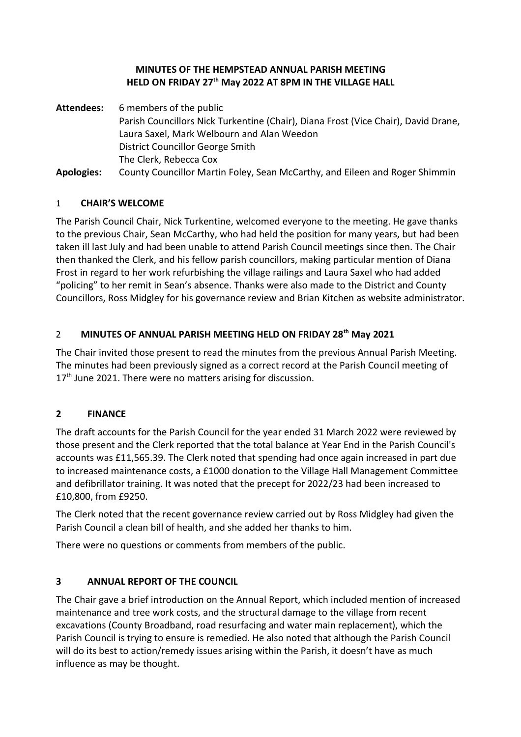#### **MINUTES OF THE HEMPSTEAD ANNUAL PARISH MEETING HELD ON FRIDAY 27th May 2022 AT 8PM IN THE VILLAGE HALL**

**Attendees:** 6 members of the public Parish Councillors Nick Turkentine (Chair), Diana Frost (Vice Chair), David Drane, Laura Saxel, Mark Welbourn and Alan Weedon District Councillor George Smith The Clerk, Rebecca Cox **Apologies:** County Councillor Martin Foley, Sean McCarthy, and Eileen and Roger Shimmin

#### 1 **CHAIR'S WELCOME**

The Parish Council Chair, Nick Turkentine, welcomed everyone to the meeting. He gave thanks to the previous Chair, Sean McCarthy, who had held the position for many years, but had been taken ill last July and had been unable to attend Parish Council meetings since then. The Chair then thanked the Clerk, and his fellow parish councillors, making particular mention of Diana Frost in regard to her work refurbishing the village railings and Laura Saxel who had added "policing" to her remit in Sean's absence. Thanks were also made to the District and County Councillors, Ross Midgley for his governance review and Brian Kitchen as website administrator.

## 2 **MINUTES OF ANNUAL PARISH MEETING HELD ON FRIDAY 28th May 2021**

The Chair invited those present to read the minutes from the previous Annual Parish Meeting. The minutes had been previously signed as a correct record at the Parish Council meeting of 17<sup>th</sup> June 2021. There were no matters arising for discussion.

### **2 FINANCE**

The draft accounts for the Parish Council for the year ended 31 March 2022 were reviewed by those present and the Clerk reported that the total balance at Year End in the Parish Council's accounts was £11,565.39. The Clerk noted that spending had once again increased in part due to increased maintenance costs, a £1000 donation to the Village Hall Management Committee and defibrillator training. It was noted that the precept for 2022/23 had been increased to £10,800, from £9250.

The Clerk noted that the recent governance review carried out by Ross Midgley had given the Parish Council a clean bill of health, and she added her thanks to him.

There were no questions or comments from members of the public.

### **3 ANNUAL REPORT OF THE COUNCIL**

The Chair gave a brief introduction on the Annual Report, which included mention of increased maintenance and tree work costs, and the structural damage to the village from recent excavations (County Broadband, road resurfacing and water main replacement), which the Parish Council is trying to ensure is remedied. He also noted that although the Parish Council will do its best to action/remedy issues arising within the Parish, it doesn't have as much influence as may be thought.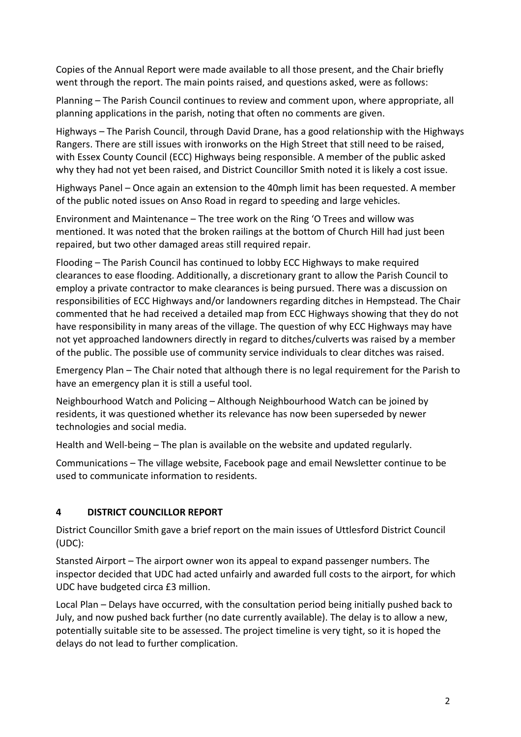Copies of the Annual Report were made available to all those present, and the Chair briefly went through the report. The main points raised, and questions asked, were as follows:

Planning – The Parish Council continues to review and comment upon, where appropriate, all planning applications in the parish, noting that often no comments are given.

Highways – The Parish Council, through David Drane, has a good relationship with the Highways Rangers. There are still issues with ironworks on the High Street that still need to be raised, with Essex County Council (ECC) Highways being responsible. A member of the public asked why they had not yet been raised, and District Councillor Smith noted it is likely a cost issue.

Highways Panel – Once again an extension to the 40mph limit has been requested. A member of the public noted issues on Anso Road in regard to speeding and large vehicles.

Environment and Maintenance – The tree work on the Ring 'O Trees and willow was mentioned. It was noted that the broken railings at the bottom of Church Hill had just been repaired, but two other damaged areas still required repair.

Flooding – The Parish Council has continued to lobby ECC Highways to make required clearances to ease flooding. Additionally, a discretionary grant to allow the Parish Council to employ a private contractor to make clearances is being pursued. There was a discussion on responsibilities of ECC Highways and/or landowners regarding ditches in Hempstead. The Chair commented that he had received a detailed map from ECC Highways showing that they do not have responsibility in many areas of the village. The question of why ECC Highways may have not yet approached landowners directly in regard to ditches/culverts was raised by a member of the public. The possible use of community service individuals to clear ditches was raised.

Emergency Plan – The Chair noted that although there is no legal requirement for the Parish to have an emergency plan it is still a useful tool.

Neighbourhood Watch and Policing – Although Neighbourhood Watch can be joined by residents, it was questioned whether its relevance has now been superseded by newer technologies and social media.

Health and Well-being – The plan is available on the website and updated regularly.

Communications – The village website, Facebook page and email Newsletter continue to be used to communicate information to residents.

### **4 DISTRICT COUNCILLOR REPORT**

District Councillor Smith gave a brief report on the main issues of Uttlesford District Council (UDC):

Stansted Airport – The airport owner won its appeal to expand passenger numbers. The inspector decided that UDC had acted unfairly and awarded full costs to the airport, for which UDC have budgeted circa £3 million.

Local Plan – Delays have occurred, with the consultation period being initially pushed back to July, and now pushed back further (no date currently available). The delay is to allow a new, potentially suitable site to be assessed. The project timeline is very tight, so it is hoped the delays do not lead to further complication.